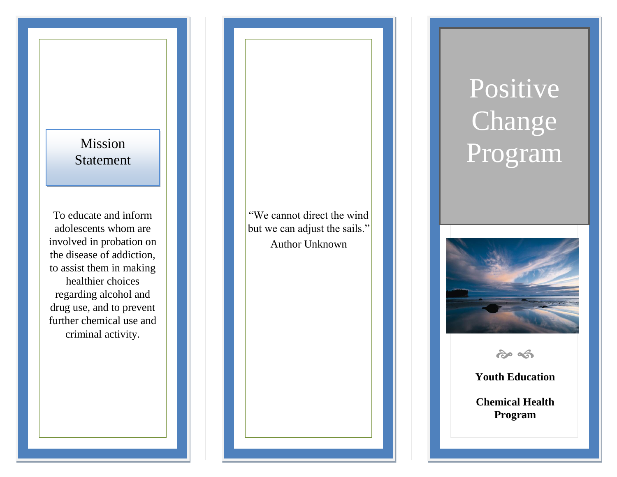## **Mission** Statement

To educate and inform adolescents whom are involved in probation on the disease of addiction, to assist them in making healthier choices regarding alcohol and drug use, and to prevent further chemical use and criminal activity.

"We cannot direct the wind but we can adjust the sails." Author Unknown

# Positive Change Program



 $\hat{\sigma}$ 

**Youth Education**

**Chemical Health Program**